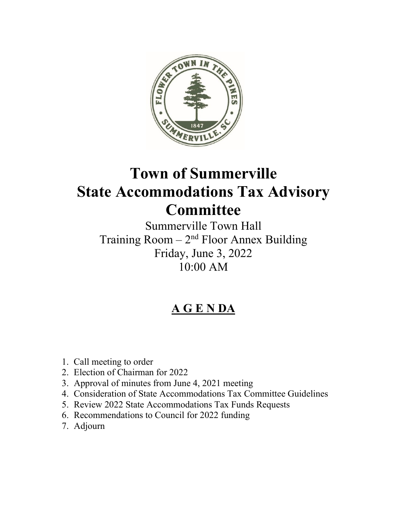

# **Town of Summerville State Accommodations Tax Advisory Committee**

Summerville Town Hall Training Room  $-2<sup>nd</sup>$  Floor Annex Building Friday, June 3, 2022 10:00 AM

# **A G E N DA**

- 1. Call meeting to order
- 2. Election of Chairman for 2022
- 3. Approval of minutes from June 4, 2021 meeting
- 4. Consideration of State Accommodations Tax Committee Guidelines
- 5. Review 2022 State Accommodations Tax Funds Requests
- 6. Recommendations to Council for 2022 funding
- 7. Adjourn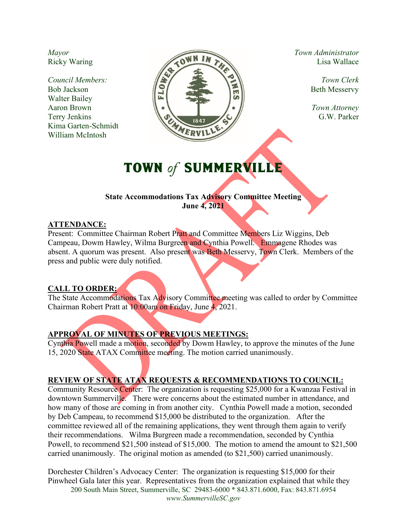*Mayor* Ricky Waring

*Council Members:* Bob Jackson Walter Bailey Aaron Brown Terry Jenkins Kima Garten-Schmidt William McIntosh



*Town Administrator* Lisa Wallace

> *Town Clerk* Beth Messervy

*Town Attorney*  G.W. Parker

# TOWN of SUMMERVILLE

#### **State Accommodations Tax Advisory Committee Meeting June 4, 2021**

#### **ATTENDANCE:**

Present: Committee Chairman Robert Pratt and Committee Members Liz Wiggins, Deb Campeau, Dowm Hawley, Wilma Burgreen and Cynthia Powell. Emmagene Rhodes was absent. A quorum was present. Also present was Beth Messervy, Town Clerk. Members of the press and public were duly notified.

### **CALL TO ORDER:**

The State Accommodations Tax Advisory Committee meeting was called to order by Committee Chairman Robert Pratt at 10:00am on Friday, June 4, 2021.

### **APPROVAL OF MINUTES OF PREVIOUS MEETINGS:**

Cynthia Powell made a motion, seconded by Dowm Hawley, to approve the minutes of the June 15, 2020 State ATAX Committee meeting. The motion carried unanimously.

## **REVIEW OF STATE ATAX REQUESTS & RECOMMENDATIONS TO COUNCIL:**

Community Resource Center: The organization is requesting \$25,000 for a Kwanzaa Festival in downtown Summerville. There were concerns about the estimated number in attendance, and how many of those are coming in from another city. Cynthia Powell made a motion, seconded by Deb Campeau, to recommend \$15,000 be distributed to the organization. After the committee reviewed all of the remaining applications, they went through them again to verify their recommendations. Wilma Burgreen made a recommendation, seconded by Cynthia Powell, to recommend \$21,500 instead of \$15,000. The motion to amend the amount to \$21,500 carried unanimously. The original motion as amended (to \$21,500) carried unanimously.

200 South Main Street, Summerville, SC 29483-6000 \* 843.871.6000, Fax: 843.871.6954 *www.SummervilleSC.gov*  Dorchester Children's Advocacy Center: The organization is requesting \$15,000 for their Pinwheel Gala later this year. Representatives from the organization explained that while they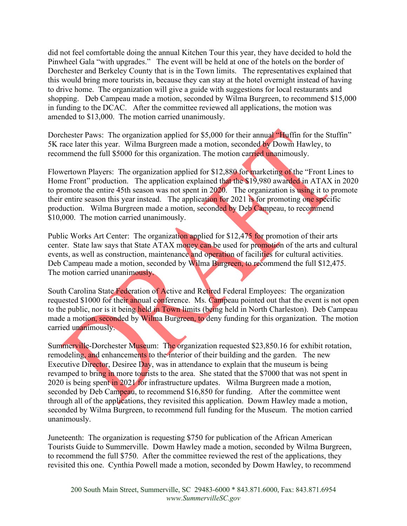did not feel comfortable doing the annual Kitchen Tour this year, they have decided to hold the Pinwheel Gala "with upgrades." The event will be held at one of the hotels on the border of Dorchester and Berkeley County that is in the Town limits. The representatives explained that this would bring more tourists in, because they can stay at the hotel overnight instead of having to drive home. The organization will give a guide with suggestions for local restaurants and shopping. Deb Campeau made a motion, seconded by Wilma Burgreen, to recommend \$15,000 in funding to the DCAC. After the committee reviewed all applications, the motion was amended to \$13,000. The motion carried unanimously.

Dorchester Paws: The organization applied for \$5,000 for their annual "Huffin for the Stuffin" 5K race later this year. Wilma Burgreen made a motion, seconded by Dowm Hawley, to recommend the full \$5000 for this organization. The motion carried unanimously.

Flowertown Players: The organization applied for \$12,880 for marketing of the "Front Lines to Home Front" production. The application explained that the \$19,980 awarded in ATAX in 2020 to promote the entire 45th season was not spent in 2020. The organization is using it to promote their entire season this year instead. The application for 2021 is for promoting one specific production. Wilma Burgreen made a motion, seconded by Deb Campeau, to recommend \$10,000. The motion carried unanimously.

Public Works Art Center: The organization applied for \$12,475 for promotion of their arts center. State law says that State ATAX money can be used for promotion of the arts and cultural events, as well as construction, maintenance and operation of facilities for cultural activities. Deb Campeau made a motion, seconded by Wilma Burgreen, to recommend the full \$12,475. The motion carried unanimously.

South Carolina State Federation of Active and Retired Federal Employees: The organization requested \$1000 for their annual conference. Ms. Campeau pointed out that the event is not open to the public, nor is it being held in Town limits (being held in North Charleston). Deb Campeau made a motion, seconded by Wilma Burgreen, to deny funding for this organization. The motion carried unanimously.

Summerville-Dorchester Museum: The organization requested \$23,850.16 for exhibit rotation, remodeling, and enhancements to the interior of their building and the garden. The new Executive Director, Desiree Day, was in attendance to explain that the museum is being revamped to bring in more tourists to the area. She stated that the \$7000 that was not spent in 2020 is being spent in 2021 for infrastructure updates. Wilma Burgreen made a motion, seconded by Deb Campeau, to recommend \$16,850 for funding. After the committee went through all of the applications, they revisited this application. Dowm Hawley made a motion, seconded by Wilma Burgreen, to recommend full funding for the Museum. The motion carried unanimously.

Juneteenth: The organization is requesting \$750 for publication of the African American Tourists Guide to Summerville. Dowm Hawley made a motion, seconded by Wilma Burgreen, to recommend the full \$750. After the committee reviewed the rest of the applications, they revisited this one. Cynthia Powell made a motion, seconded by Dowm Hawley, to recommend